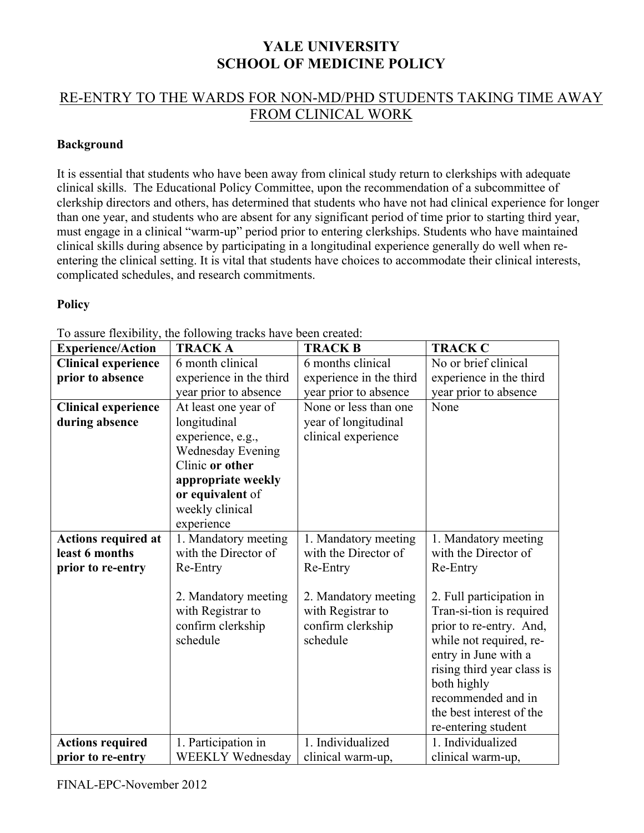## **YALE UNIVERSITY SCHOOL OF MEDICINE POLICY**

## RE-ENTRY TO THE WARDS FOR NON-MD/PHD STUDENTS TAKING TIME AWAY FROM CLINICAL WORK

## **Background**

It is essential that students who have been away from clinical study return to clerkships with adequate clinical skills. The Educational Policy Committee, upon the recommendation of a subcommittee of clerkship directors and others, has determined that students who have not had clinical experience for longer than one year, and students who are absent for any significant period of time prior to starting third year, must engage in a clinical "warm-up" period prior to entering clerkships. Students who have maintained clinical skills during absence by participating in a longitudinal experience generally do well when reentering the clinical setting. It is vital that students have choices to accommodate their clinical interests, complicated schedules, and research commitments.

## **Policy**

|                            | TO assure hexionity, the following tracks have been created. |                         |                            |
|----------------------------|--------------------------------------------------------------|-------------------------|----------------------------|
| <b>Experience/Action</b>   | <b>TRACK A</b>                                               | <b>TRACK B</b>          | <b>TRACK C</b>             |
| <b>Clinical experience</b> | 6 month clinical                                             | 6 months clinical       | No or brief clinical       |
| prior to absence           | experience in the third                                      | experience in the third | experience in the third    |
|                            | year prior to absence                                        | year prior to absence   | year prior to absence      |
| <b>Clinical experience</b> | At least one year of                                         | None or less than one   | None                       |
| during absence             | longitudinal                                                 | year of longitudinal    |                            |
|                            | experience, e.g.,                                            | clinical experience     |                            |
|                            | <b>Wednesday Evening</b>                                     |                         |                            |
|                            | Clinic or other                                              |                         |                            |
|                            | appropriate weekly                                           |                         |                            |
|                            | or equivalent of                                             |                         |                            |
|                            | weekly clinical                                              |                         |                            |
|                            | experience                                                   |                         |                            |
| <b>Actions required at</b> | 1. Mandatory meeting                                         | 1. Mandatory meeting    | 1. Mandatory meeting       |
| least 6 months             | with the Director of                                         | with the Director of    | with the Director of       |
| prior to re-entry          | Re-Entry                                                     | Re-Entry                | Re-Entry                   |
|                            |                                                              |                         |                            |
|                            | 2. Mandatory meeting                                         | 2. Mandatory meeting    | 2. Full participation in   |
|                            | with Registrar to                                            | with Registrar to       | Tran-si-tion is required   |
|                            | confirm clerkship                                            | confirm clerkship       | prior to re-entry. And,    |
|                            | schedule                                                     | schedule                | while not required, re-    |
|                            |                                                              |                         | entry in June with a       |
|                            |                                                              |                         | rising third year class is |
|                            |                                                              |                         | both highly                |
|                            |                                                              |                         | recommended and in         |
|                            |                                                              |                         | the best interest of the   |
|                            |                                                              |                         | re-entering student        |
| <b>Actions required</b>    | 1. Participation in                                          | 1. Individualized       | 1. Individualized          |
| prior to re-entry          | <b>WEEKLY Wednesday</b>                                      | clinical warm-up,       | clinical warm-up,          |

To assure flexibility, the following tracks have been created: